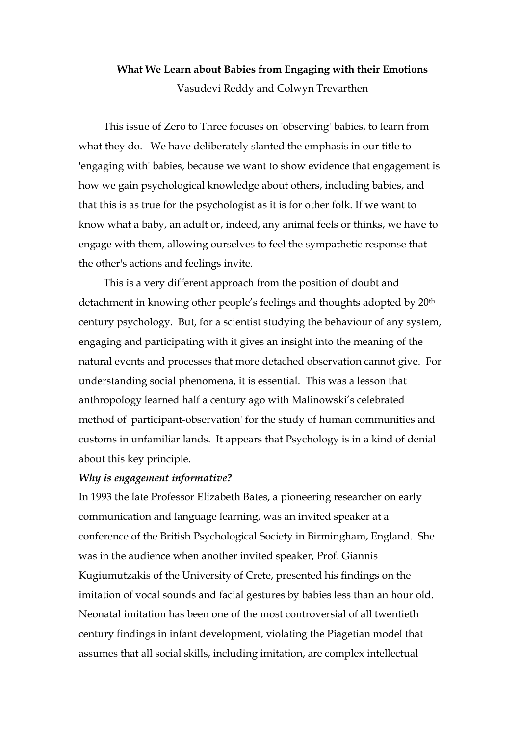## **What We Learn about Babies from Engaging with their Emotions**  Vasudevi Reddy and Colwyn Trevarthen

This issue of Zero to Three focuses on 'observing' babies, to learn from what they do. We have deliberately slanted the emphasis in our title to 'engaging with' babies, because we want to show evidence that engagement is how we gain psychological knowledge about others, including babies, and that this is as true for the psychologist as it is for other folk. If we want to know what a baby, an adult or, indeed, any animal feels or thinks, we have to engage with them, allowing ourselves to feel the sympathetic response that the other's actions and feelings invite.

This is a very different approach from the position of doubt and detachment in knowing other people's feelings and thoughts adopted by 20th century psychology. But, for a scientist studying the behaviour of any system, engaging and participating with it gives an insight into the meaning of the natural events and processes that more detached observation cannot give. For understanding social phenomena, it is essential. This was a lesson that anthropology learned half a century ago with Malinowski's celebrated method of 'participant-observation' for the study of human communities and customs in unfamiliar lands. It appears that Psychology is in a kind of denial about this key principle.

## *Why is engagement informative?*

In 1993 the late Professor Elizabeth Bates, a pioneering researcher on early communication and language learning, was an invited speaker at a conference of the British Psychological Society in Birmingham, England. She was in the audience when another invited speaker, Prof. Giannis Kugiumutzakis of the University of Crete, presented his findings on the imitation of vocal sounds and facial gestures by babies less than an hour old. Neonatal imitation has been one of the most controversial of all twentieth century findings in infant development, violating the Piagetian model that assumes that all social skills, including imitation, are complex intellectual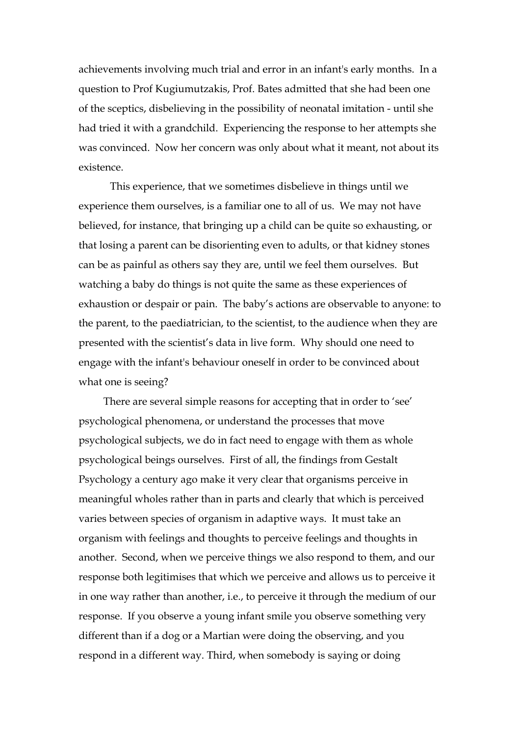achievements involving much trial and error in an infant's early months. In a question to Prof Kugiumutzakis, Prof. Bates admitted that she had been one of the sceptics, disbelieving in the possibility of neonatal imitation - until she had tried it with a grandchild. Experiencing the response to her attempts she was convinced. Now her concern was only about what it meant, not about its existence.

 This experience, that we sometimes disbelieve in things until we experience them ourselves, is a familiar one to all of us. We may not have believed, for instance, that bringing up a child can be quite so exhausting, or that losing a parent can be disorienting even to adults, or that kidney stones can be as painful as others say they are, until we feel them ourselves. But watching a baby do things is not quite the same as these experiences of exhaustion or despair or pain. The baby's actions are observable to anyone: to the parent, to the paediatrician, to the scientist, to the audience when they are presented with the scientist's data in live form. Why should one need to engage with the infant's behaviour oneself in order to be convinced about what one is seeing?

There are several simple reasons for accepting that in order to 'see' psychological phenomena, or understand the processes that move psychological subjects, we do in fact need to engage with them as whole psychological beings ourselves. First of all, the findings from Gestalt Psychology a century ago make it very clear that organisms perceive in meaningful wholes rather than in parts and clearly that which is perceived varies between species of organism in adaptive ways. It must take an organism with feelings and thoughts to perceive feelings and thoughts in another. Second, when we perceive things we also respond to them, and our response both legitimises that which we perceive and allows us to perceive it in one way rather than another, i.e., to perceive it through the medium of our response. If you observe a young infant smile you observe something very different than if a dog or a Martian were doing the observing, and you respond in a different way. Third, when somebody is saying or doing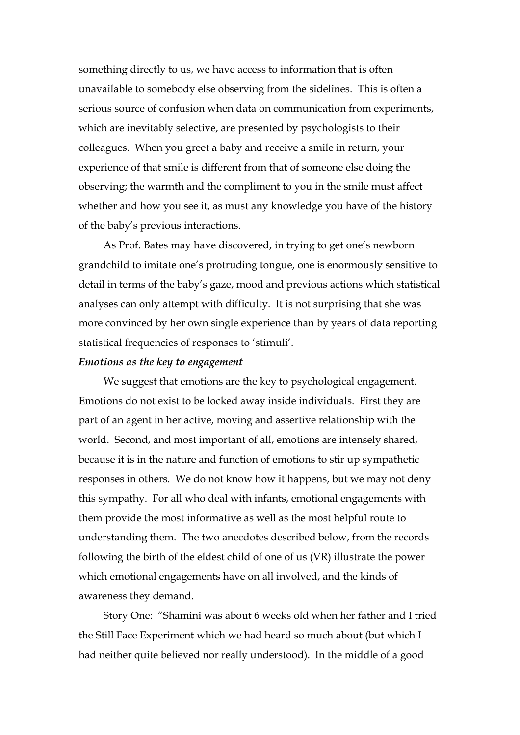something directly to us, we have access to information that is often unavailable to somebody else observing from the sidelines. This is often a serious source of confusion when data on communication from experiments, which are inevitably selective, are presented by psychologists to their colleagues. When you greet a baby and receive a smile in return, your experience of that smile is different from that of someone else doing the observing; the warmth and the compliment to you in the smile must affect whether and how you see it, as must any knowledge you have of the history of the baby's previous interactions.

As Prof. Bates may have discovered, in trying to get one's newborn grandchild to imitate one's protruding tongue, one is enormously sensitive to detail in terms of the baby's gaze, mood and previous actions which statistical analyses can only attempt with difficulty. It is not surprising that she was more convinced by her own single experience than by years of data reporting statistical frequencies of responses to 'stimuli'.

#### *Emotions as the key to engagement*

We suggest that emotions are the key to psychological engagement. Emotions do not exist to be locked away inside individuals. First they are part of an agent in her active, moving and assertive relationship with the world. Second, and most important of all, emotions are intensely shared, because it is in the nature and function of emotions to stir up sympathetic responses in others. We do not know how it happens, but we may not deny this sympathy. For all who deal with infants, emotional engagements with them provide the most informative as well as the most helpful route to understanding them. The two anecdotes described below, from the records following the birth of the eldest child of one of us (VR) illustrate the power which emotional engagements have on all involved, and the kinds of awareness they demand.

Story One: "Shamini was about 6 weeks old when her father and I tried the Still Face Experiment which we had heard so much about (but which I had neither quite believed nor really understood). In the middle of a good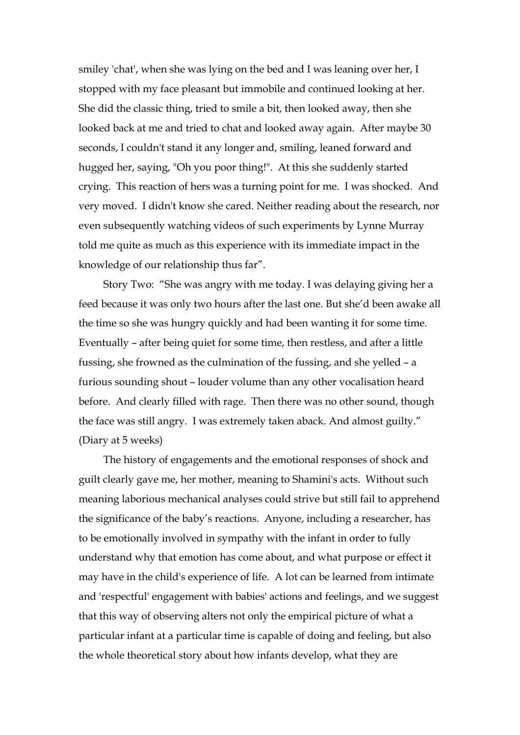smiley 'chat', when she was lying on the bed and I was leaning over her, I stopped with my face pleasant but immobile and continued looking at her. She did the classic thing, tried to smile a bit, then looked away, then she looked back at me and tried to chat and looked away again. After maybe 30 seconds, I couldn't stand it any longer and, smiling, leaned forward and hugged her, saying, "Oh you poor thing!". At this she suddenly started crying. This reaction of hers was a turning point for me. I was shocked. And very moved. I didn't know she cared. Neither reading about the research, nor even subsequently watching videos of such experiments by Lynne Murray told me quite as much as this experience with its immediate impact in the knowledge of our relationship thus far".

Story Two: "She was angry with me today. I was delaying giving her a feed because it was only two hours after the last one. But she'd been awake all the time so she was hungry quickly and had been wanting it for some time. Eventually – after being quiet for some time, then restless, and after a little fussing, she frowned as the culmination of the fussing, and she yelled – a furious sounding shout – louder volume than any other vocalisation heard before. And clearly filled with rage. Then there was no other sound, though the face was still angry. I was extremely taken aback. And almost guilty." (Diary at 5 weeks)

The history of engagements and the emotional responses of shock and guilt clearly gave me, her mother, meaning to Shamini's acts. Without such meaning laborious mechanical analyses could strive but still fail to apprehend the significance of the baby's reactions. Anyone, including a researcher, has to be emotionally involved in sympathy with the infant in order to fully understand why that emotion has come about, and what purpose or effect it may have in the child's experience of life. A lot can be learned from intimate and 'respectful' engagement with babies' actions and feelings, and we suggest that this way of observing alters not only the empirical picture of what a particular infant at a particular time is capable of doing and feeling, but also the whole theoretical story about how infants develop, what they are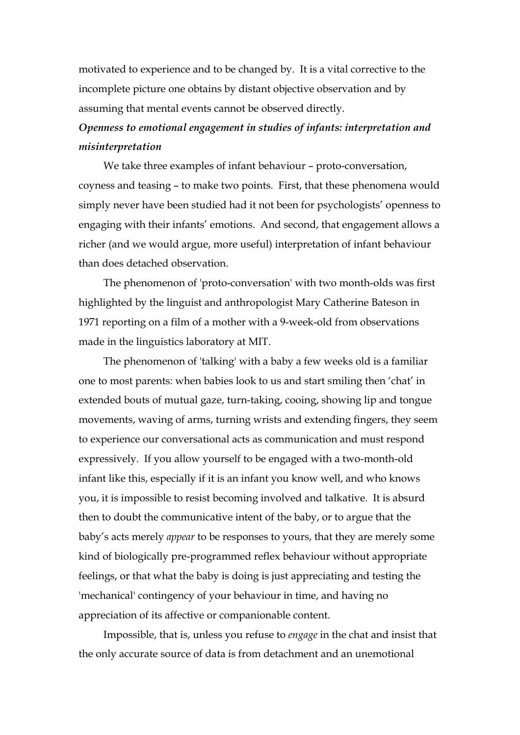motivated to experience and to be changed by. It is a vital corrective to the incomplete picture one obtains by distant objective observation and by assuming that mental events cannot be observed directly.

## *Openness to emotional engagement in studies of infants: interpretation and misinterpretation*

We take three examples of infant behaviour – proto-conversation, coyness and teasing – to make two points. First, that these phenomena would simply never have been studied had it not been for psychologists' openness to engaging with their infants' emotions. And second, that engagement allows a richer (and we would argue, more useful) interpretation of infant behaviour than does detached observation.

The phenomenon of 'proto-conversation' with two month-olds was first highlighted by the linguist and anthropologist Mary Catherine Bateson in 1971 reporting on a film of a mother with a 9-week-old from observations made in the linguistics laboratory at MIT.

The phenomenon of 'talking' with a baby a few weeks old is a familiar one to most parents: when babies look to us and start smiling then 'chat' in extended bouts of mutual gaze, turn-taking, cooing, showing lip and tongue movements, waving of arms, turning wrists and extending fingers, they seem to experience our conversational acts as communication and must respond expressively. If you allow yourself to be engaged with a two-month-old infant like this, especially if it is an infant you know well, and who knows you, it is impossible to resist becoming involved and talkative. It is absurd then to doubt the communicative intent of the baby, or to argue that the baby's acts merely *appear* to be responses to yours, that they are merely some kind of biologically pre-programmed reflex behaviour without appropriate feelings, or that what the baby is doing is just appreciating and testing the 'mechanical' contingency of your behaviour in time, and having no appreciation of its affective or companionable content.

Impossible, that is, unless you refuse to *engage* in the chat and insist that the only accurate source of data is from detachment and an unemotional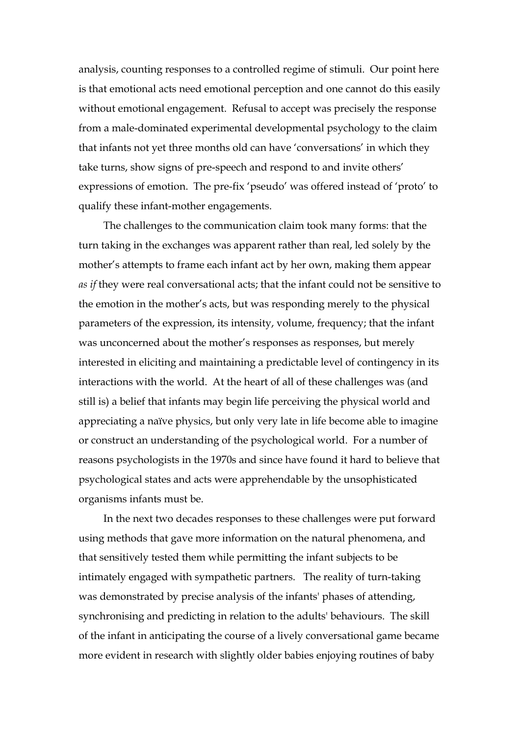analysis, counting responses to a controlled regime of stimuli. Our point here is that emotional acts need emotional perception and one cannot do this easily without emotional engagement. Refusal to accept was precisely the response from a male-dominated experimental developmental psychology to the claim that infants not yet three months old can have 'conversations' in which they take turns, show signs of pre-speech and respond to and invite others' expressions of emotion. The pre-fix 'pseudo' was offered instead of 'proto' to qualify these infant-mother engagements.

The challenges to the communication claim took many forms: that the turn taking in the exchanges was apparent rather than real, led solely by the mother's attempts to frame each infant act by her own, making them appear *as if* they were real conversational acts; that the infant could not be sensitive to the emotion in the mother's acts, but was responding merely to the physical parameters of the expression, its intensity, volume, frequency; that the infant was unconcerned about the mother's responses as responses, but merely interested in eliciting and maintaining a predictable level of contingency in its interactions with the world. At the heart of all of these challenges was (and still is) a belief that infants may begin life perceiving the physical world and appreciating a naïve physics, but only very late in life become able to imagine or construct an understanding of the psychological world. For a number of reasons psychologists in the 1970s and since have found it hard to believe that psychological states and acts were apprehendable by the unsophisticated organisms infants must be.

In the next two decades responses to these challenges were put forward using methods that gave more information on the natural phenomena, and that sensitively tested them while permitting the infant subjects to be intimately engaged with sympathetic partners. The reality of turn-taking was demonstrated by precise analysis of the infants' phases of attending, synchronising and predicting in relation to the adults' behaviours. The skill of the infant in anticipating the course of a lively conversational game became more evident in research with slightly older babies enjoying routines of baby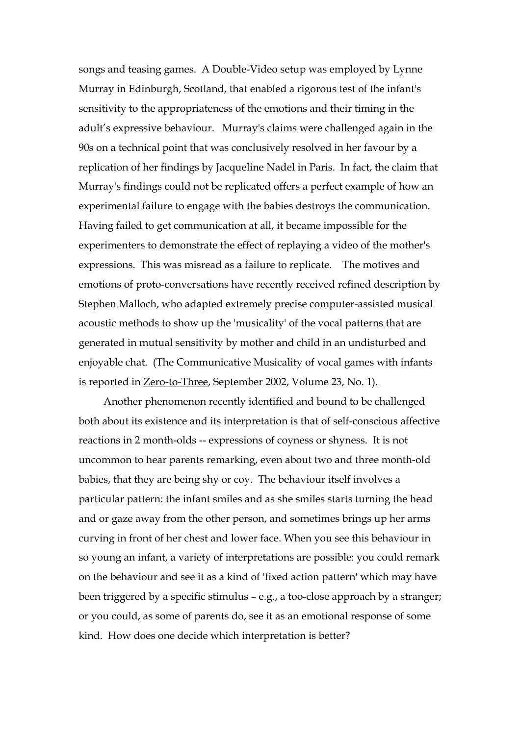songs and teasing games. A Double-Video setup was employed by Lynne Murray in Edinburgh, Scotland, that enabled a rigorous test of the infant's sensitivity to the appropriateness of the emotions and their timing in the adult's expressive behaviour. Murray's claims were challenged again in the 90s on a technical point that was conclusively resolved in her favour by a replication of her findings by Jacqueline Nadel in Paris. In fact, the claim that Murray's findings could not be replicated offers a perfect example of how an experimental failure to engage with the babies destroys the communication. Having failed to get communication at all, it became impossible for the experimenters to demonstrate the effect of replaying a video of the mother's expressions. This was misread as a failure to replicate. The motives and emotions of proto-conversations have recently received refined description by Stephen Malloch, who adapted extremely precise computer-assisted musical acoustic methods to show up the 'musicality' of the vocal patterns that are generated in mutual sensitivity by mother and child in an undisturbed and enjoyable chat. (The Communicative Musicality of vocal games with infants is reported in Zero-to-Three, September 2002, Volume 23, No. 1).

Another phenomenon recently identified and bound to be challenged both about its existence and its interpretation is that of self-conscious affective reactions in 2 month-olds -- expressions of coyness or shyness. It is not uncommon to hear parents remarking, even about two and three month-old babies, that they are being shy or coy. The behaviour itself involves a particular pattern: the infant smiles and as she smiles starts turning the head and or gaze away from the other person, and sometimes brings up her arms curving in front of her chest and lower face. When you see this behaviour in so young an infant, a variety of interpretations are possible: you could remark on the behaviour and see it as a kind of 'fixed action pattern' which may have been triggered by a specific stimulus – e.g., a too-close approach by a stranger; or you could, as some of parents do, see it as an emotional response of some kind. How does one decide which interpretation is better?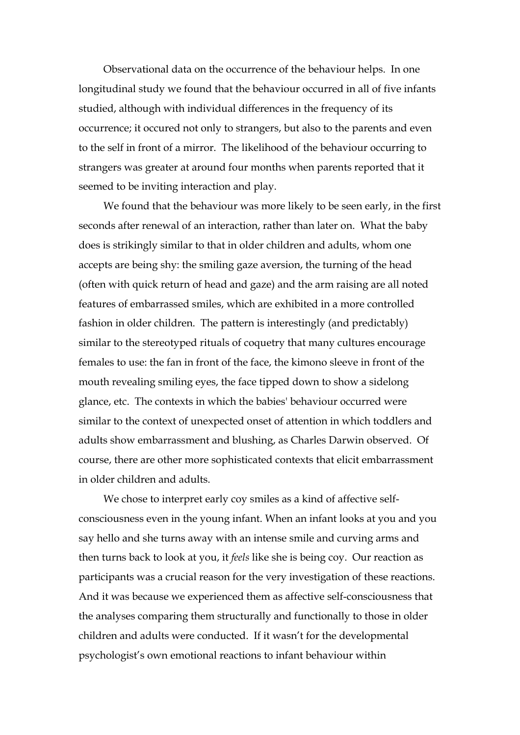Observational data on the occurrence of the behaviour helps. In one longitudinal study we found that the behaviour occurred in all of five infants studied, although with individual differences in the frequency of its occurrence; it occured not only to strangers, but also to the parents and even to the self in front of a mirror. The likelihood of the behaviour occurring to strangers was greater at around four months when parents reported that it seemed to be inviting interaction and play.

We found that the behaviour was more likely to be seen early, in the first seconds after renewal of an interaction, rather than later on. What the baby does is strikingly similar to that in older children and adults, whom one accepts are being shy: the smiling gaze aversion, the turning of the head (often with quick return of head and gaze) and the arm raising are all noted features of embarrassed smiles, which are exhibited in a more controlled fashion in older children. The pattern is interestingly (and predictably) similar to the stereotyped rituals of coquetry that many cultures encourage females to use: the fan in front of the face, the kimono sleeve in front of the mouth revealing smiling eyes, the face tipped down to show a sidelong glance, etc. The contexts in which the babies' behaviour occurred were similar to the context of unexpected onset of attention in which toddlers and adults show embarrassment and blushing, as Charles Darwin observed. Of course, there are other more sophisticated contexts that elicit embarrassment in older children and adults.

We chose to interpret early coy smiles as a kind of affective selfconsciousness even in the young infant. When an infant looks at you and you say hello and she turns away with an intense smile and curving arms and then turns back to look at you, it *feels* like she is being coy. Our reaction as participants was a crucial reason for the very investigation of these reactions. And it was because we experienced them as affective self-consciousness that the analyses comparing them structurally and functionally to those in older children and adults were conducted. If it wasn't for the developmental psychologist's own emotional reactions to infant behaviour within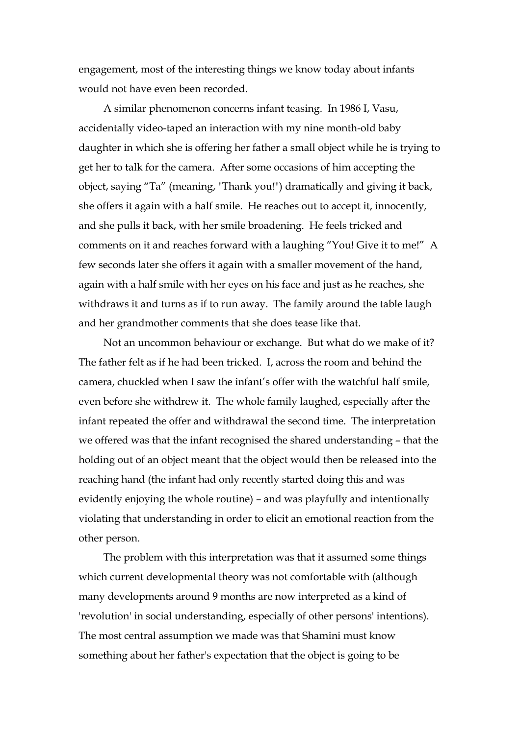engagement, most of the interesting things we know today about infants would not have even been recorded.

A similar phenomenon concerns infant teasing. In 1986 I, Vasu, accidentally video-taped an interaction with my nine month-old baby daughter in which she is offering her father a small object while he is trying to get her to talk for the camera. After some occasions of him accepting the object, saying "Ta" (meaning, "Thank you!") dramatically and giving it back, she offers it again with a half smile. He reaches out to accept it, innocently, and she pulls it back, with her smile broadening. He feels tricked and comments on it and reaches forward with a laughing "You! Give it to me!" A few seconds later she offers it again with a smaller movement of the hand, again with a half smile with her eyes on his face and just as he reaches, she withdraws it and turns as if to run away. The family around the table laugh and her grandmother comments that she does tease like that.

Not an uncommon behaviour or exchange. But what do we make of it? The father felt as if he had been tricked. I, across the room and behind the camera, chuckled when I saw the infant's offer with the watchful half smile, even before she withdrew it. The whole family laughed, especially after the infant repeated the offer and withdrawal the second time. The interpretation we offered was that the infant recognised the shared understanding – that the holding out of an object meant that the object would then be released into the reaching hand (the infant had only recently started doing this and was evidently enjoying the whole routine) – and was playfully and intentionally violating that understanding in order to elicit an emotional reaction from the other person.

The problem with this interpretation was that it assumed some things which current developmental theory was not comfortable with (although many developments around 9 months are now interpreted as a kind of 'revolution' in social understanding, especially of other persons' intentions). The most central assumption we made was that Shamini must know something about her father's expectation that the object is going to be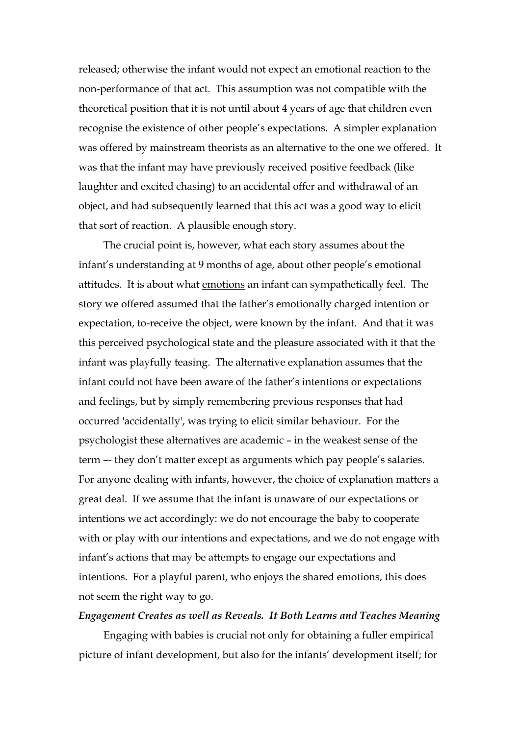released; otherwise the infant would not expect an emotional reaction to the non-performance of that act. This assumption was not compatible with the theoretical position that it is not until about 4 years of age that children even recognise the existence of other people's expectations. A simpler explanation was offered by mainstream theorists as an alternative to the one we offered. It was that the infant may have previously received positive feedback (like laughter and excited chasing) to an accidental offer and withdrawal of an object, and had subsequently learned that this act was a good way to elicit that sort of reaction. A plausible enough story.

The crucial point is, however, what each story assumes about the infant's understanding at 9 months of age, about other people's emotional attitudes. It is about what emotions an infant can sympathetically feel. The story we offered assumed that the father's emotionally charged intention or expectation, to-receive the object, were known by the infant. And that it was this perceived psychological state and the pleasure associated with it that the infant was playfully teasing. The alternative explanation assumes that the infant could not have been aware of the father's intentions or expectations and feelings, but by simply remembering previous responses that had occurred 'accidentally', was trying to elicit similar behaviour. For the psychologist these alternatives are academic – in the weakest sense of the term –- they don't matter except as arguments which pay people's salaries. For anyone dealing with infants, however, the choice of explanation matters a great deal. If we assume that the infant is unaware of our expectations or intentions we act accordingly: we do not encourage the baby to cooperate with or play with our intentions and expectations, and we do not engage with infant's actions that may be attempts to engage our expectations and intentions. For a playful parent, who enjoys the shared emotions, this does not seem the right way to go.

## *Engagement Creates as well as Reveals. It Both Learns and Teaches Meaning*

Engaging with babies is crucial not only for obtaining a fuller empirical picture of infant development, but also for the infants' development itself; for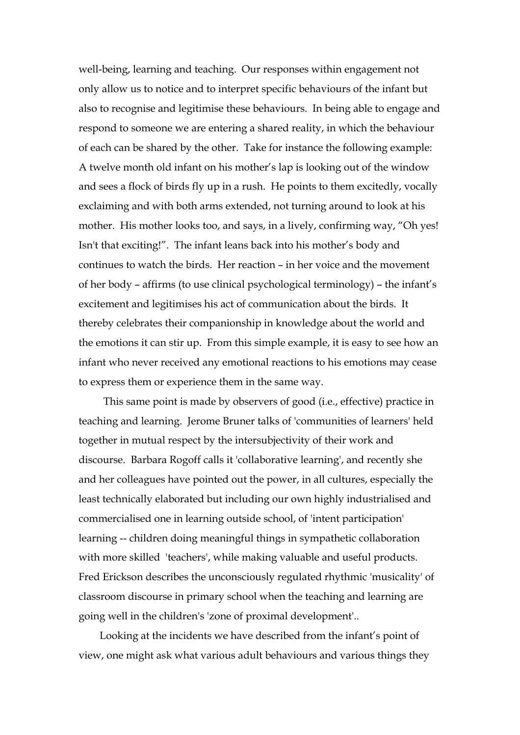well-being, learning and teaching. Our responses within engagement not only allow us to notice and to interpret specific behaviours of the infant but also to recognise and legitimise these behaviours. In being able to engage and respond to someone we are entering a shared reality, in which the behaviour of each can be shared by the other. Take for instance the following example: A twelve month old infant on his mother's lap is looking out of the window and sees a flock of birds fly up in a rush. He points to them excitedly, vocally exclaiming and with both arms extended, not turning around to look at his mother. His mother looks too, and says, in a lively, confirming way, "Oh yes! Isn't that exciting!". The infant leans back into his mother's body and continues to watch the birds. Her reaction – in her voice and the movement of her body – affirms (to use clinical psychological terminology) – the infant's excitement and legitimises his act of communication about the birds. It thereby celebrates their companionship in knowledge about the world and the emotions it can stir up. From this simple example, it is easy to see how an infant who never received any emotional reactions to his emotions may cease to express them or experience them in the same way.

This same point is made by observers of good (i.e., effective) practice in teaching and learning. Jerome Bruner talks of 'communities of learners' held together in mutual respect by the intersubjectivity of their work and discourse. Barbara Rogoff calls it 'collaborative learning', and recently she and her colleagues have pointed out the power, in all cultures, especially the least technically elaborated but including our own highly industrialised and commercialised one in learning outside school, of 'intent participation' learning -- children doing meaningful things in sympathetic collaboration with more skilled 'teachers', while making valuable and useful products. Fred Erickson describes the unconsciously regulated rhythmic 'musicality' of classroom discourse in primary school when the teaching and learning are going well in the children's 'zone of proximal development'..

 Looking at the incidents we have described from the infant's point of view, one might ask what various adult behaviours and various things they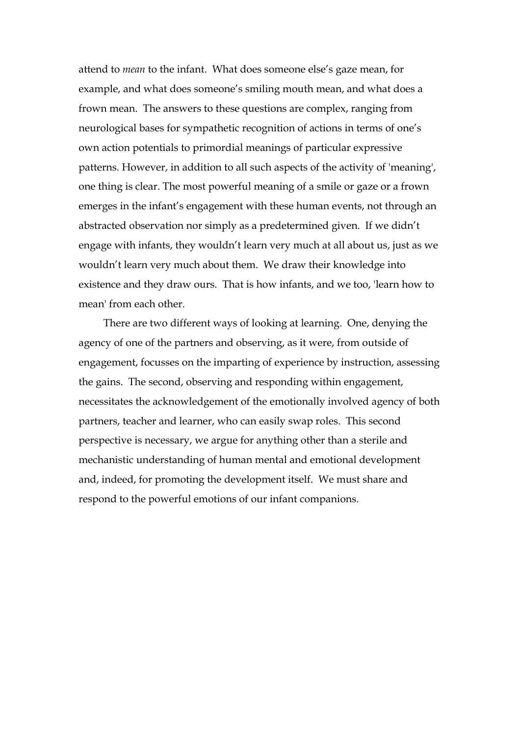attend to *mean* to the infant. What does someone else's gaze mean, for example, and what does someone's smiling mouth mean, and what does a frown mean. The answers to these questions are complex, ranging from neurological bases for sympathetic recognition of actions in terms of one's own action potentials to primordial meanings of particular expressive patterns. However, in addition to all such aspects of the activity of 'meaning', one thing is clear. The most powerful meaning of a smile or gaze or a frown emerges in the infant's engagement with these human events, not through an abstracted observation nor simply as a predetermined given. If we didn't engage with infants, they wouldn't learn very much at all about us, just as we wouldn't learn very much about them. We draw their knowledge into existence and they draw ours. That is how infants, and we too, 'learn how to mean' from each other.

There are two different ways of looking at learning. One, denying the agency of one of the partners and observing, as it were, from outside of engagement, focusses on the imparting of experience by instruction, assessing the gains. The second, observing and responding within engagement, necessitates the acknowledgement of the emotionally involved agency of both partners, teacher and learner, who can easily swap roles. This second perspective is necessary, we argue for anything other than a sterile and mechanistic understanding of human mental and emotional development and, indeed, for promoting the development itself. We must share and respond to the powerful emotions of our infant companions.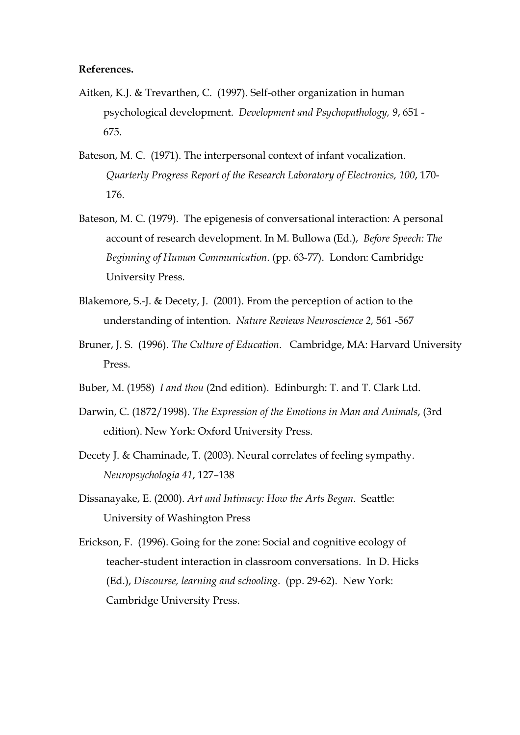#### **References.**

- Aitken, K.J. & Trevarthen, C. (1997). Self-other organization in human psychological development. *Development and Psychopathology, 9*, 651 - 675.
- Bateson, M. C. (1971). The interpersonal context of infant vocalization. *Quarterly Progress Report of the Research Laboratory of Electronics, 100*, 170- 176.
- Bateson, M. C. (1979). The epigenesis of conversational interaction: A personal account of research development. In M. Bullowa (Ed.), *Before Speech: The Beginning of Human Communication*. (pp. 63-77). London: Cambridge University Press.
- Blakemore, S.-J. & Decety, J. (2001). From the perception of action to the understanding of intention. *Nature Reviews Neuroscience 2,* 561 -567
- Bruner, J. S. (1996). *The Culture of Education*. Cambridge, MA: Harvard University Press.
- Buber, M. (1958) *I and thou* (2nd edition). Edinburgh: T. and T. Clark Ltd.
- Darwin, C. (1872/1998). *The Expression of the Emotions in Man and Animals*, (3rd edition). New York: Oxford University Press.
- Decety J. & Chaminade, T. (2003). Neural correlates of feeling sympathy. *Neuropsychologia 41*, 127–138
- Dissanayake, E. (2000). *Art and Intimacy: How the Arts Began*. Seattle: University of Washington Press
- Erickson, F. (1996). Going for the zone: Social and cognitive ecology of teacher-student interaction in classroom conversations. In D. Hicks (Ed.), *Discourse, learning and schooling*. (pp. 29-62). New York: Cambridge University Press.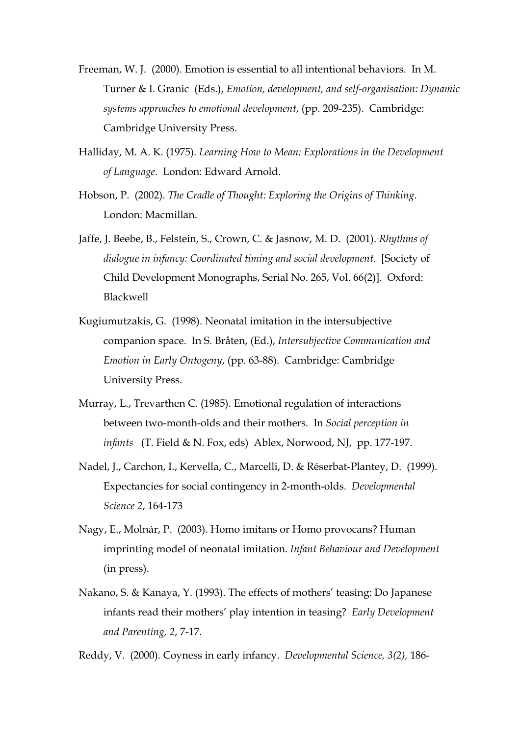- Freeman, W. J. (2000). Emotion is essential to all intentional behaviors. In M. Turner & I. Granic (Eds.), *Emotion, development, and self-organisation: Dynamic systems approaches to emotional development*, (pp. 209-235). Cambridge: Cambridge University Press.
- Halliday, M. A. K. (1975). *Learning How to Mean: Explorations in the Development of Language*. London: Edward Arnold.
- Hobson, P. (2002). *The Cradle of Thought: Exploring the Origins of Thinking*. London: Macmillan.
- Jaffe, J. Beebe, B., Felstein, S., Crown, C. & Jasnow, M. D. (2001). *Rhythms of dialogue in infancy: Coordinated timing and social development*. [Society of Child Development Monographs, Serial No. 265, Vol. 66(2)]. Oxford: Blackwell
- Kugiumutzakis, G. (1998). Neonatal imitation in the intersubjective companion space. In S. Bråten, (Ed.), *Intersubjective Communication and Emotion in Early Ontogeny*, (pp. 63-88). Cambridge: Cambridge University Press.
- Murray, L., Trevarthen C. (1985). Emotional regulation of interactions between two-month-olds and their mothers. In *Social perception in infants* (T. Field & N. Fox, eds) Ablex, Norwood, NJ, pp. 177-197.
- Nadel, J., Carchon, I., Kervella, C., Marcelli, D. & Réserbat-Plantey, D. (1999). Expectancies for social contingency in 2-month-olds. *Developmental Science 2*, 164-173
- Nagy, E., Molnár, P. (2003). Homo imitans or Homo provocans? Human imprinting model of neonatal imitation. *Infant Behaviour and Development* (in press).
- Nakano, S. & Kanaya, Y. (1993). The effects of mothers' teasing: Do Japanese infants read their mothers' play intention in teasing? *Early Development and Parenting, 2*, 7-17.

Reddy, V. (2000). Coyness in early infancy. *Developmental Science, 3(2),* 186-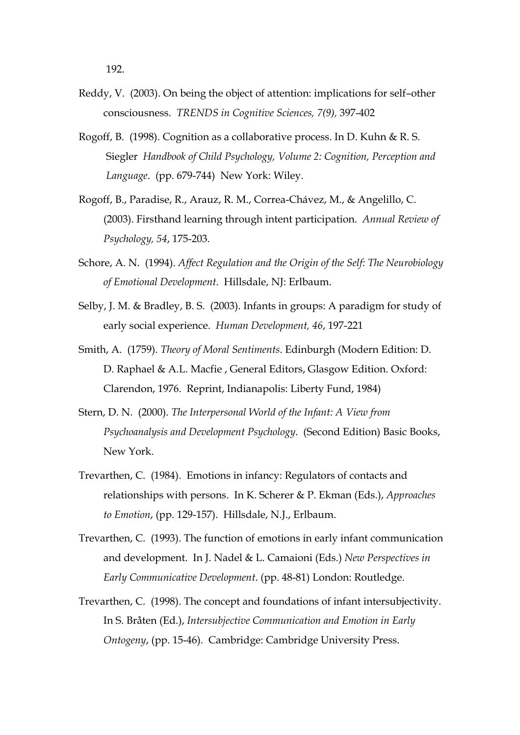- Reddy, V. (2003). On being the object of attention: implications for self–other consciousness. *TRENDS in Cognitive Sciences, 7(9),* 397-402
- Rogoff, B. (1998). Cognition as a collaborative process. In D. Kuhn & R. S. Siegler *Handbook of Child Psychology, Volume 2: Cognition, Perception and Language*. (pp. 679-744) New York: Wiley.
- Rogoff, B., Paradise, R., Arauz, R. M., Correa-Chávez, M., & Angelillo, C. (2003). Firsthand learning through intent participation. *Annual Review of Psychology, 54*, 175-203.
- Schore, A. N. (1994). *Affect Regulation and the Origin of the Self: The Neurobiology of Emotional Development*. Hillsdale, NJ: Erlbaum.
- Selby, J. M. & Bradley, B. S. (2003). Infants in groups: A paradigm for study of early social experience. *Human Development, 46*, 197-221
- Smith, A. (1759). *Theory of Moral Sentiments*. Edinburgh (Modern Edition: D. D. Raphael & A.L. Macfie , General Editors, Glasgow Edition. Oxford: Clarendon, 1976. Reprint, Indianapolis: Liberty Fund, 1984)
- Stern, D. N. (2000). *The Interpersonal World of the Infant: A View from Psychoanalysis and Development Psychology*. (Second Edition) Basic Books, New York.
- Trevarthen, C. (1984). Emotions in infancy: Regulators of contacts and relationships with persons. In K. Scherer & P. Ekman (Eds.), *Approaches to Emotion*, (pp. 129-157). Hillsdale, N.J., Erlbaum.
- Trevarthen, C. (1993). The function of emotions in early infant communication and development. In J. Nadel & L. Camaioni (Eds.) *New Perspectives in Early Communicative Development*. (pp. 48-81) London: Routledge.
- Trevarthen, C. (1998). The concept and foundations of infant intersubjectivity. In S. Bråten (Ed.), *Intersubjective Communication and Emotion in Early Ontogeny*, (pp. 15-46). Cambridge: Cambridge University Press.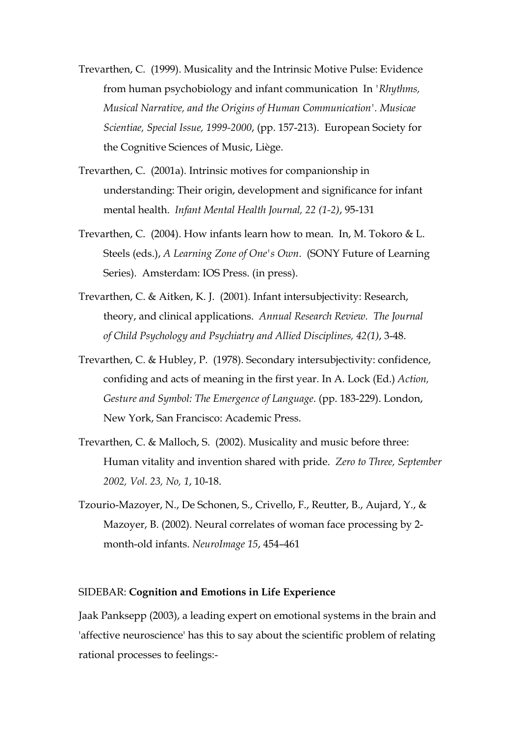- Trevarthen, C. (1999). Musicality and the Intrinsic Motive Pulse: Evidence from human psychobiology and infant communication In *'Rhythms, Musical Narrative, and the Origins of Human Communication'. Musicae Scientiae, Special Issue, 1999-2000*, (pp. 157-213). European Society for the Cognitive Sciences of Music, Liège.
- Trevarthen, C. (2001a). Intrinsic motives for companionship in understanding: Their origin, development and significance for infant mental health. *Infant Mental Health Journal, 22 (1-2)*, 95-131
- Trevarthen, C. (2004). How infants learn how to mean. In, M. Tokoro & L. Steels (eds.), *A Learning Zone of One's Own*. (SONY Future of Learning Series). Amsterdam: IOS Press. (in press).
- Trevarthen, C. & Aitken, K. J. (2001). Infant intersubjectivity: Research, theory, and clinical applications. *Annual Research Review. The Journal of Child Psychology and Psychiatry and Allied Disciplines, 42(1)*, 3-48.
- Trevarthen, C. & Hubley, P. (1978). Secondary intersubjectivity: confidence, confiding and acts of meaning in the first year. In A. Lock (Ed.) *Action, Gesture and Symbol: The Emergence of Language*. (pp. 183-229). London, New York, San Francisco: Academic Press.
- Trevarthen, C. & Malloch, S. (2002). Musicality and music before three: Human vitality and invention shared with pride. *Zero to Three, September 2002, Vol. 23, No, 1*, 10-18.
- Tzourio-Mazoyer, N., De Schonen, S., Crivello, F., Reutter, B., Aujard, Y., & Mazoyer, B. (2002). Neural correlates of woman face processing by 2 month-old infants. *NeuroImage 15*, 454–461

#### SIDEBAR: **Cognition and Emotions in Life Experience**

Jaak Panksepp (2003), a leading expert on emotional systems in the brain and 'affective neuroscience' has this to say about the scientific problem of relating rational processes to feelings:-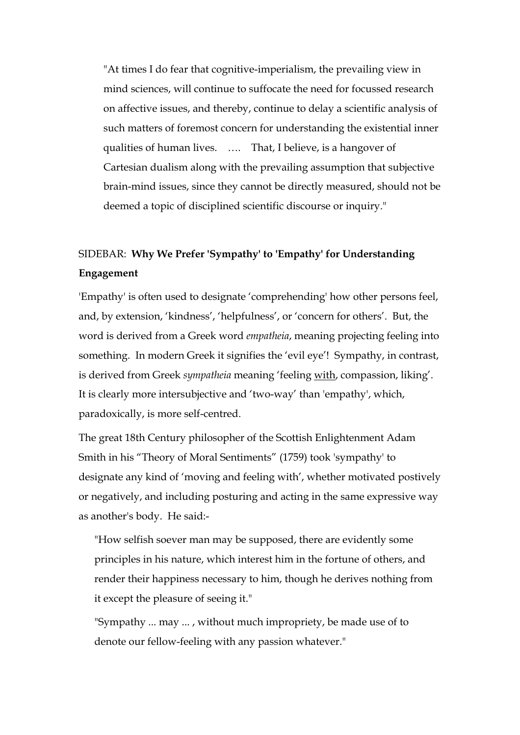"At times I do fear that cognitive-imperialism, the prevailing view in mind sciences, will continue to suffocate the need for focussed research on affective issues, and thereby, continue to delay a scientific analysis of such matters of foremost concern for understanding the existential inner qualities of human lives. …. That, I believe, is a hangover of Cartesian dualism along with the prevailing assumption that subjective brain-mind issues, since they cannot be directly measured, should not be deemed a topic of disciplined scientific discourse or inquiry."

# SIDEBAR: **Why We Prefer 'Sympathy' to 'Empathy' for Understanding Engagement**

'Empathy' is often used to designate 'comprehending' how other persons feel, and, by extension, 'kindness', 'helpfulness', or 'concern for others'. But, the word is derived from a Greek word *empatheia*, meaning projecting feeling into something. In modern Greek it signifies the 'evil eye'! Sympathy, in contrast, is derived from Greek *sympatheia* meaning 'feeling with, compassion, liking'. It is clearly more intersubjective and 'two-way' than 'empathy', which, paradoxically, is more self-centred.

The great 18th Century philosopher of the Scottish Enlightenment Adam Smith in his "Theory of Moral Sentiments" (1759) took 'sympathy' to designate any kind of 'moving and feeling with', whether motivated postively or negatively, and including posturing and acting in the same expressive way as another's body. He said:-

"How selfish soever man may be supposed, there are evidently some principles in his nature, which interest him in the fortune of others, and render their happiness necessary to him, though he derives nothing from it except the pleasure of seeing it."

"Sympathy ... may ... , without much impropriety, be made use of to denote our fellow-feeling with any passion whatever."